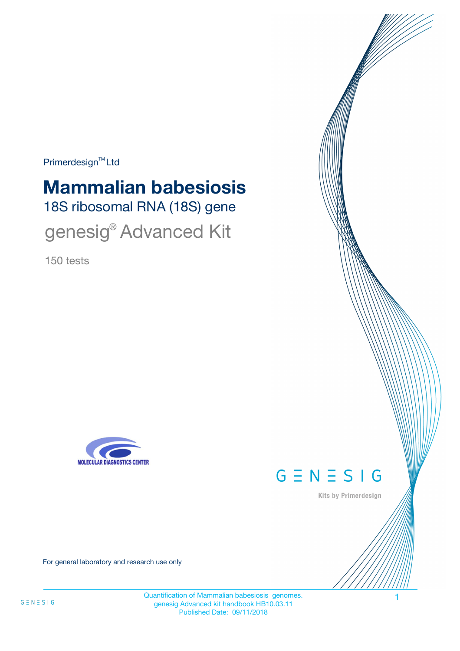Primerdesign<sup>™</sup>Ltd

# 18S ribosomal RNA (18S) gene **Mammalian babesiosis**

genesig® Advanced Kit

150 tests





Kits by Primerdesign

For general laboratory and research use only

Quantification of Mammalian babesiosis genomes. 1 genesig Advanced kit handbook HB10.03.11 Published Date: 09/11/2018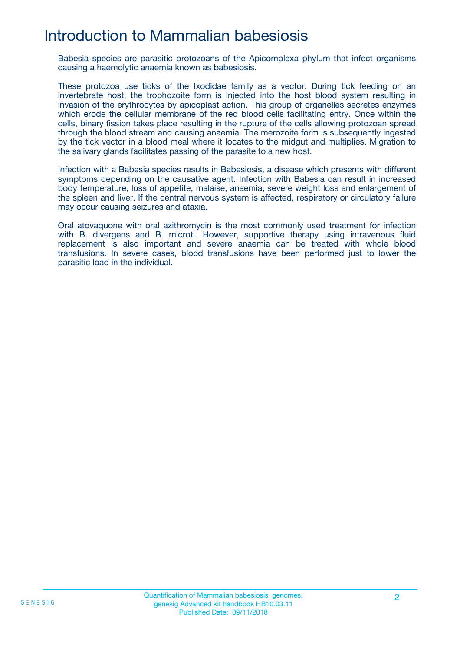## Introduction to Mammalian babesiosis

Babesia species are parasitic protozoans of the Apicomplexa phylum that infect organisms causing a haemolytic anaemia known as babesiosis.

These protozoa use ticks of the Ixodidae family as a vector. During tick feeding on an invertebrate host, the trophozoite form is injected into the host blood system resulting in invasion of the erythrocytes by apicoplast action. This group of organelles secretes enzymes which erode the cellular membrane of the red blood cells facilitating entry. Once within the cells, binary fission takes place resulting in the rupture of the cells allowing protozoan spread through the blood stream and causing anaemia. The merozoite form is subsequently ingested by the tick vector in a blood meal where it locates to the midgut and multiplies. Migration to the salivary glands facilitates passing of the parasite to a new host.

Infection with a Babesia species results in Babesiosis, a disease which presents with different symptoms depending on the causative agent. Infection with Babesia can result in increased body temperature, loss of appetite, malaise, anaemia, severe weight loss and enlargement of the spleen and liver. If the central nervous system is affected, respiratory or circulatory failure may occur causing seizures and ataxia.

Oral atovaquone with oral azithromycin is the most commonly used treatment for infection with B. divergens and B. microti. However, supportive therapy using intravenous fluid replacement is also important and severe anaemia can be treated with whole blood transfusions. In severe cases, blood transfusions have been performed just to lower the parasitic load in the individual.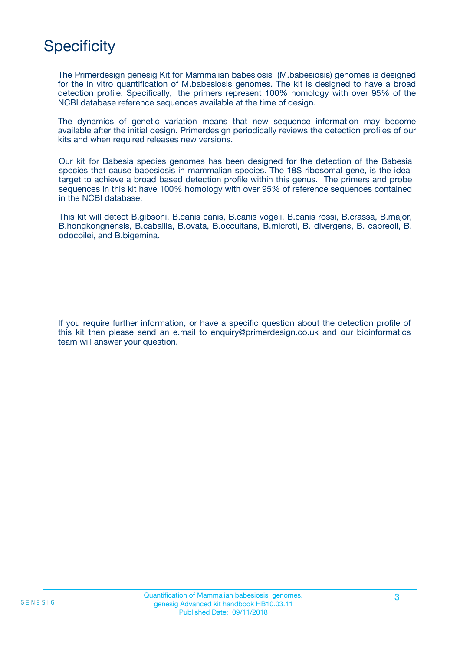## **Specificity**

The Primerdesign genesig Kit for Mammalian babesiosis (M.babesiosis) genomes is designed for the in vitro quantification of M.babesiosis genomes. The kit is designed to have a broad detection profile. Specifically, the primers represent 100% homology with over 95% of the NCBI database reference sequences available at the time of design.

The dynamics of genetic variation means that new sequence information may become available after the initial design. Primerdesign periodically reviews the detection profiles of our kits and when required releases new versions.

Our kit for Babesia species genomes has been designed for the detection of the Babesia species that cause babesiosis in mammalian species. The 18S ribosomal gene, is the ideal target to achieve a broad based detection profile within this genus. The primers and probe sequences in this kit have 100% homology with over 95% of reference sequences contained in the NCBI database.

This kit will detect B.gibsoni, B.canis canis, B.canis vogeli, B.canis rossi, B.crassa, B.major, B.hongkongnensis, B.caballia, B.ovata, B.occultans, B.microti, B. divergens, B. capreoli, B. odocoilei, and B.bigemina.

If you require further information, or have a specific question about the detection profile of this kit then please send an e.mail to enquiry@primerdesign.co.uk and our bioinformatics team will answer your question.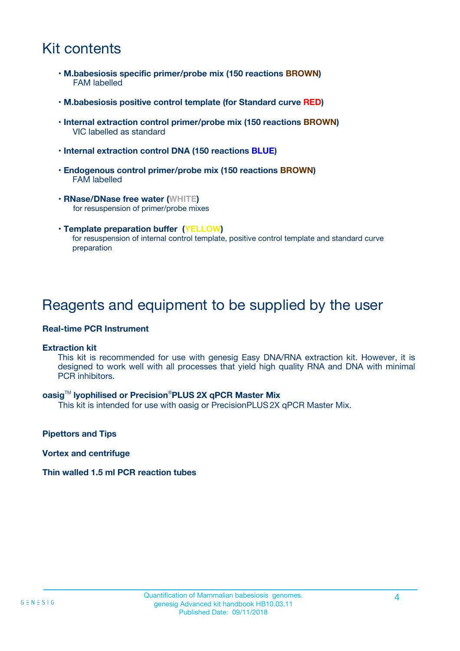## Kit contents

- **M.babesiosis specific primer/probe mix (150 reactions BROWN)** FAM labelled
- **M.babesiosis positive control template (for Standard curve RED)**
- **Internal extraction control primer/probe mix (150 reactions BROWN)** VIC labelled as standard
- **Internal extraction control DNA (150 reactions BLUE)**
- **Endogenous control primer/probe mix (150 reactions BROWN)** FAM labelled
- **RNase/DNase free water (WHITE)** for resuspension of primer/probe mixes
- **Template preparation buffer (YELLOW)** for resuspension of internal control template, positive control template and standard curve preparation

## Reagents and equipment to be supplied by the user

#### **Real-time PCR Instrument**

#### **Extraction kit**

This kit is recommended for use with genesig Easy DNA/RNA extraction kit. However, it is designed to work well with all processes that yield high quality RNA and DNA with minimal PCR inhibitors.

#### **oasig**TM **lyophilised or Precision**®**PLUS 2X qPCR Master Mix**

This kit is intended for use with oasig or PrecisionPLUS2X qPCR Master Mix.

**Pipettors and Tips**

**Vortex and centrifuge**

#### **Thin walled 1.5 ml PCR reaction tubes**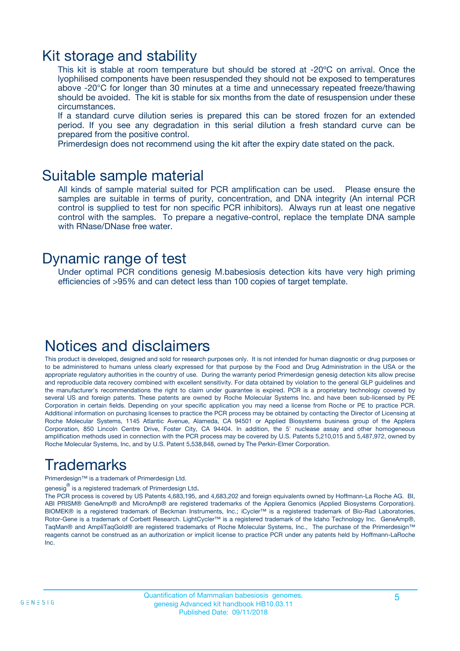### Kit storage and stability

This kit is stable at room temperature but should be stored at -20ºC on arrival. Once the lyophilised components have been resuspended they should not be exposed to temperatures above -20°C for longer than 30 minutes at a time and unnecessary repeated freeze/thawing should be avoided. The kit is stable for six months from the date of resuspension under these circumstances.

If a standard curve dilution series is prepared this can be stored frozen for an extended period. If you see any degradation in this serial dilution a fresh standard curve can be prepared from the positive control.

Primerdesign does not recommend using the kit after the expiry date stated on the pack.

### Suitable sample material

All kinds of sample material suited for PCR amplification can be used. Please ensure the samples are suitable in terms of purity, concentration, and DNA integrity (An internal PCR control is supplied to test for non specific PCR inhibitors). Always run at least one negative control with the samples. To prepare a negative-control, replace the template DNA sample with RNase/DNase free water.

### Dynamic range of test

Under optimal PCR conditions genesig M.babesiosis detection kits have very high priming efficiencies of >95% and can detect less than 100 copies of target template.

## Notices and disclaimers

This product is developed, designed and sold for research purposes only. It is not intended for human diagnostic or drug purposes or to be administered to humans unless clearly expressed for that purpose by the Food and Drug Administration in the USA or the appropriate regulatory authorities in the country of use. During the warranty period Primerdesign genesig detection kits allow precise and reproducible data recovery combined with excellent sensitivity. For data obtained by violation to the general GLP guidelines and the manufacturer's recommendations the right to claim under guarantee is expired. PCR is a proprietary technology covered by several US and foreign patents. These patents are owned by Roche Molecular Systems Inc. and have been sub-licensed by PE Corporation in certain fields. Depending on your specific application you may need a license from Roche or PE to practice PCR. Additional information on purchasing licenses to practice the PCR process may be obtained by contacting the Director of Licensing at Roche Molecular Systems, 1145 Atlantic Avenue, Alameda, CA 94501 or Applied Biosystems business group of the Applera Corporation, 850 Lincoln Centre Drive, Foster City, CA 94404. In addition, the 5' nuclease assay and other homogeneous amplification methods used in connection with the PCR process may be covered by U.S. Patents 5,210,015 and 5,487,972, owned by Roche Molecular Systems, Inc, and by U.S. Patent 5,538,848, owned by The Perkin-Elmer Corporation.

## Trademarks

Primerdesign™ is a trademark of Primerdesign Ltd.

genesig $^\circledR$  is a registered trademark of Primerdesign Ltd.

The PCR process is covered by US Patents 4,683,195, and 4,683,202 and foreign equivalents owned by Hoffmann-La Roche AG. BI, ABI PRISM® GeneAmp® and MicroAmp® are registered trademarks of the Applera Genomics (Applied Biosystems Corporation). BIOMEK® is a registered trademark of Beckman Instruments, Inc.; iCycler™ is a registered trademark of Bio-Rad Laboratories, Rotor-Gene is a trademark of Corbett Research. LightCycler™ is a registered trademark of the Idaho Technology Inc. GeneAmp®, TaqMan® and AmpliTaqGold® are registered trademarks of Roche Molecular Systems, Inc., The purchase of the Primerdesign™ reagents cannot be construed as an authorization or implicit license to practice PCR under any patents held by Hoffmann-LaRoche Inc.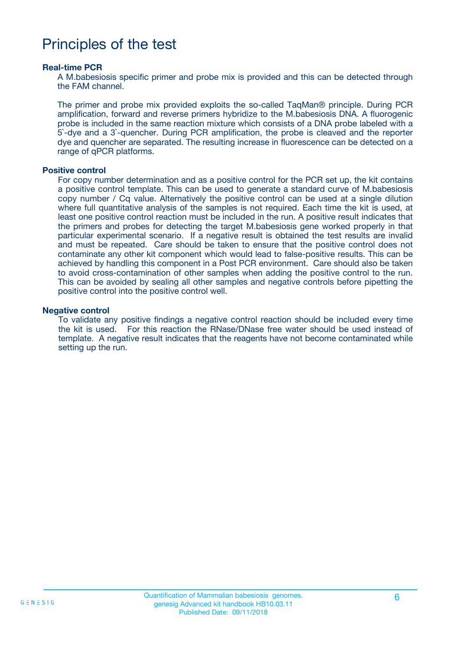## Principles of the test

#### **Real-time PCR**

A M.babesiosis specific primer and probe mix is provided and this can be detected through the FAM channel.

The primer and probe mix provided exploits the so-called TaqMan® principle. During PCR amplification, forward and reverse primers hybridize to the M.babesiosis DNA. A fluorogenic probe is included in the same reaction mixture which consists of a DNA probe labeled with a 5`-dye and a 3`-quencher. During PCR amplification, the probe is cleaved and the reporter dye and quencher are separated. The resulting increase in fluorescence can be detected on a range of qPCR platforms.

#### **Positive control**

For copy number determination and as a positive control for the PCR set up, the kit contains a positive control template. This can be used to generate a standard curve of M.babesiosis copy number / Cq value. Alternatively the positive control can be used at a single dilution where full quantitative analysis of the samples is not required. Each time the kit is used, at least one positive control reaction must be included in the run. A positive result indicates that the primers and probes for detecting the target M.babesiosis gene worked properly in that particular experimental scenario. If a negative result is obtained the test results are invalid and must be repeated. Care should be taken to ensure that the positive control does not contaminate any other kit component which would lead to false-positive results. This can be achieved by handling this component in a Post PCR environment. Care should also be taken to avoid cross-contamination of other samples when adding the positive control to the run. This can be avoided by sealing all other samples and negative controls before pipetting the positive control into the positive control well.

#### **Negative control**

To validate any positive findings a negative control reaction should be included every time the kit is used. For this reaction the RNase/DNase free water should be used instead of template. A negative result indicates that the reagents have not become contaminated while setting up the run.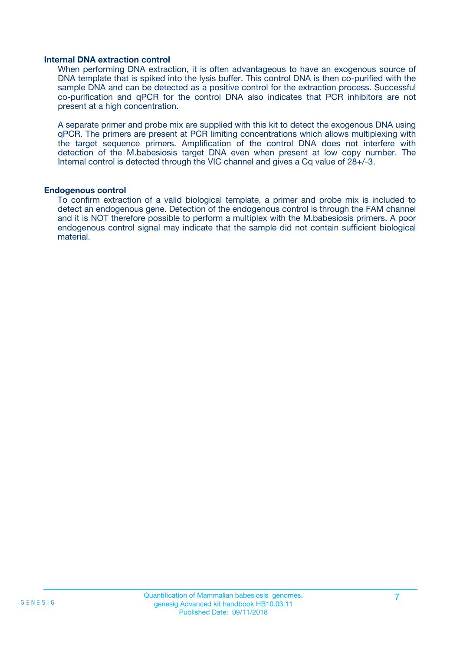#### **Internal DNA extraction control**

When performing DNA extraction, it is often advantageous to have an exogenous source of DNA template that is spiked into the lysis buffer. This control DNA is then co-purified with the sample DNA and can be detected as a positive control for the extraction process. Successful co-purification and qPCR for the control DNA also indicates that PCR inhibitors are not present at a high concentration.

A separate primer and probe mix are supplied with this kit to detect the exogenous DNA using qPCR. The primers are present at PCR limiting concentrations which allows multiplexing with the target sequence primers. Amplification of the control DNA does not interfere with detection of the M.babesiosis target DNA even when present at low copy number. The Internal control is detected through the VIC channel and gives a Cq value of 28+/-3.

#### **Endogenous control**

To confirm extraction of a valid biological template, a primer and probe mix is included to detect an endogenous gene. Detection of the endogenous control is through the FAM channel and it is NOT therefore possible to perform a multiplex with the M.babesiosis primers. A poor endogenous control signal may indicate that the sample did not contain sufficient biological material.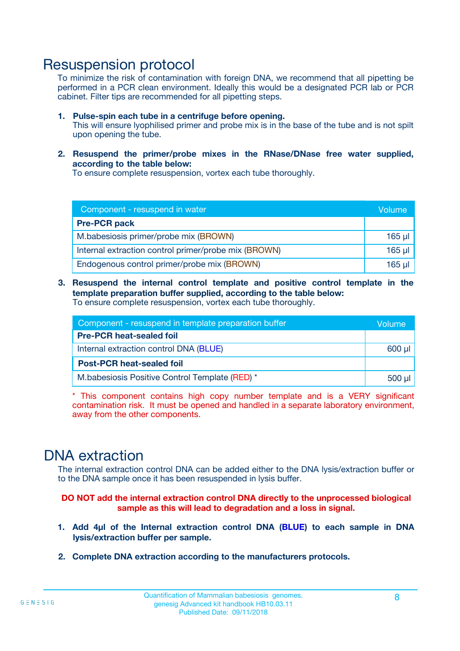### Resuspension protocol

To minimize the risk of contamination with foreign DNA, we recommend that all pipetting be performed in a PCR clean environment. Ideally this would be a designated PCR lab or PCR cabinet. Filter tips are recommended for all pipetting steps.

- **1. Pulse-spin each tube in a centrifuge before opening.** This will ensure lyophilised primer and probe mix is in the base of the tube and is not spilt upon opening the tube.
- **2. Resuspend the primer/probe mixes in the RNase/DNase free water supplied, according to the table below:**

To ensure complete resuspension, vortex each tube thoroughly.

| Component - resuspend in water                       |          |  |
|------------------------------------------------------|----------|--|
| <b>Pre-PCR pack</b>                                  |          |  |
| M.babesiosis primer/probe mix (BROWN)                | $165$ µ  |  |
| Internal extraction control primer/probe mix (BROWN) | $165$ µl |  |
| Endogenous control primer/probe mix (BROWN)          | 165 µl   |  |

**3. Resuspend the internal control template and positive control template in the template preparation buffer supplied, according to the table below:** To ensure complete resuspension, vortex each tube thoroughly.

| Component - resuspend in template preparation buffer |  |  |  |
|------------------------------------------------------|--|--|--|
| <b>Pre-PCR heat-sealed foil</b>                      |  |  |  |
| Internal extraction control DNA (BLUE)               |  |  |  |
| <b>Post-PCR heat-sealed foil</b>                     |  |  |  |
| M.babesiosis Positive Control Template (RED) *       |  |  |  |

\* This component contains high copy number template and is a VERY significant contamination risk. It must be opened and handled in a separate laboratory environment, away from the other components.

### DNA extraction

The internal extraction control DNA can be added either to the DNA lysis/extraction buffer or to the DNA sample once it has been resuspended in lysis buffer.

**DO NOT add the internal extraction control DNA directly to the unprocessed biological sample as this will lead to degradation and a loss in signal.**

- **1. Add 4µl of the Internal extraction control DNA (BLUE) to each sample in DNA lysis/extraction buffer per sample.**
- **2. Complete DNA extraction according to the manufacturers protocols.**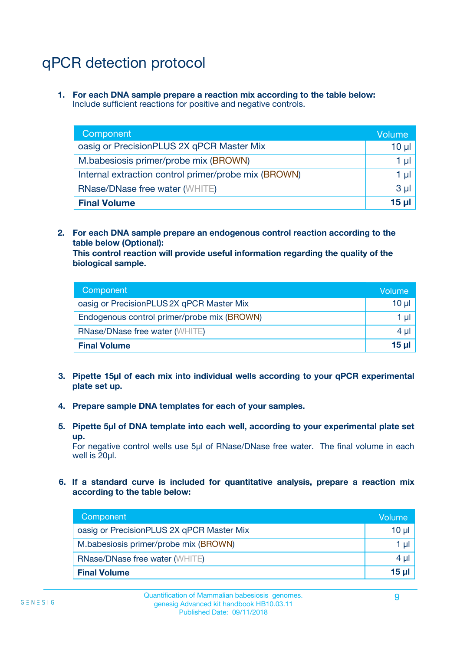## qPCR detection protocol

**1. For each DNA sample prepare a reaction mix according to the table below:** Include sufficient reactions for positive and negative controls.

| Component                                            | Volume   |
|------------------------------------------------------|----------|
| oasig or PrecisionPLUS 2X qPCR Master Mix            | 10 $\mu$ |
| M.babesiosis primer/probe mix (BROWN)                | 1 µI     |
| Internal extraction control primer/probe mix (BROWN) | 1 µl     |
| <b>RNase/DNase free water (WHITE)</b>                | $3 \mu$  |
| <b>Final Volume</b>                                  | 15 µl    |

**2. For each DNA sample prepare an endogenous control reaction according to the table below (Optional):**

**This control reaction will provide useful information regarding the quality of the biological sample.**

| Component                                   | Volume          |
|---------------------------------------------|-----------------|
| oasig or PrecisionPLUS 2X qPCR Master Mix   | $10 \mu$        |
| Endogenous control primer/probe mix (BROWN) | 1 µI            |
| <b>RNase/DNase free water (WHITE)</b>       | 4 µl            |
| <b>Final Volume</b>                         | 15 <sub>µ</sub> |

- **3. Pipette 15µl of each mix into individual wells according to your qPCR experimental plate set up.**
- **4. Prepare sample DNA templates for each of your samples.**
- **5. Pipette 5µl of DNA template into each well, according to your experimental plate set up.**

For negative control wells use 5µl of RNase/DNase free water. The final volume in each well is 20ul.

**6. If a standard curve is included for quantitative analysis, prepare a reaction mix according to the table below:**

| Component                                 | Volume          |
|-------------------------------------------|-----------------|
| oasig or PrecisionPLUS 2X qPCR Master Mix | 10 $\mu$        |
| M.babesiosis primer/probe mix (BROWN)     | 1 µI -          |
| <b>RNase/DNase free water (WHITE)</b>     | $4 \mu$         |
| <b>Final Volume</b>                       | 15 <sub>µ</sub> |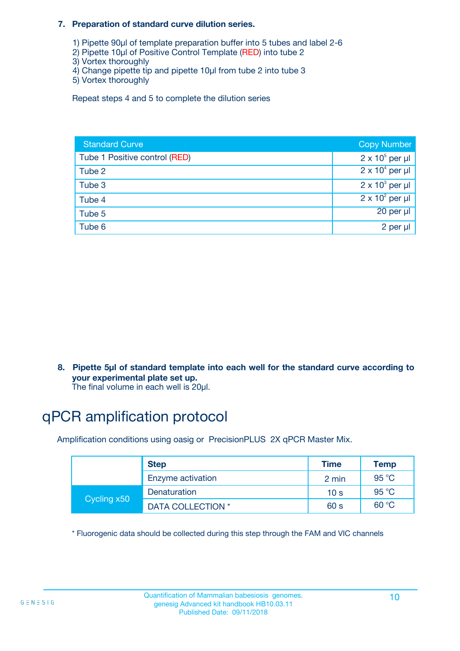#### **7. Preparation of standard curve dilution series.**

- 1) Pipette 90µl of template preparation buffer into 5 tubes and label 2-6
- 2) Pipette 10µl of Positive Control Template (RED) into tube 2
- 3) Vortex thoroughly
- 4) Change pipette tip and pipette 10µl from tube 2 into tube 3
- 5) Vortex thoroughly

Repeat steps 4 and 5 to complete the dilution series

| <b>Standard Curve</b>         | <b>Copy Number</b>     |
|-------------------------------|------------------------|
| Tube 1 Positive control (RED) | $2 \times 10^5$ per µl |
| Tube 2                        | $2 \times 10^4$ per µl |
| Tube 3                        | $2 \times 10^3$ per µl |
| Tube 4                        | $2 \times 10^2$ per µl |
| Tube 5                        | $20$ per $\mu$         |
| Tube 6                        | 2 per µl               |

**8. Pipette 5µl of standard template into each well for the standard curve according to your experimental plate set up.**

#### The final volume in each well is 20µl.

## qPCR amplification protocol

Amplification conditions using oasig or PrecisionPLUS 2X qPCR Master Mix.

|             | <b>Step</b>       | <b>Time</b>     | Temp    |
|-------------|-------------------|-----------------|---------|
|             | Enzyme activation | 2 min           | 95 °C   |
| Cycling x50 | Denaturation      | 10 <sub>s</sub> | 95 $°C$ |
|             | DATA COLLECTION * | 60 s            | 60 °C   |

\* Fluorogenic data should be collected during this step through the FAM and VIC channels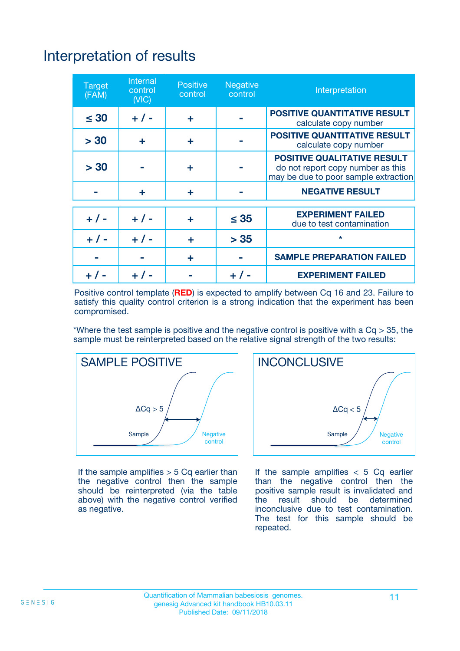# Interpretation of results

| <b>Target</b><br>(FAM) | Internal<br>control<br>(NIC) | <b>Positive</b><br>control | Negative<br>control | Interpretation                                                                                                  |
|------------------------|------------------------------|----------------------------|---------------------|-----------------------------------------------------------------------------------------------------------------|
| $\leq 30$              | $+ 1 -$                      | ÷                          |                     | <b>POSITIVE QUANTITATIVE RESULT</b><br>calculate copy number                                                    |
| > 30                   | ÷                            | ÷                          |                     | <b>POSITIVE QUANTITATIVE RESULT</b><br>calculate copy number                                                    |
| > 30                   |                              | ÷                          |                     | <b>POSITIVE QUALITATIVE RESULT</b><br>do not report copy number as this<br>may be due to poor sample extraction |
|                        | ÷                            | ÷                          |                     | <b>NEGATIVE RESULT</b>                                                                                          |
|                        |                              |                            |                     | <b>EXPERIMENT FAILED</b>                                                                                        |
| $+ 1 -$                | $+ 1 -$                      | ÷                          | $\leq 35$           | due to test contamination                                                                                       |
| $+ 1 -$                | $+ 1 -$                      | ÷                          | > 35                | $\star$                                                                                                         |
|                        |                              | ÷                          |                     | <b>SAMPLE PREPARATION FAILED</b>                                                                                |
|                        |                              |                            |                     | <b>EXPERIMENT FAILED</b>                                                                                        |

Positive control template (**RED**) is expected to amplify between Cq 16 and 23. Failure to satisfy this quality control criterion is a strong indication that the experiment has been compromised.

\*Where the test sample is positive and the negative control is positive with a  $Ca > 35$ , the sample must be reinterpreted based on the relative signal strength of the two results:



If the sample amplifies  $> 5$  Cq earlier than the negative control then the sample should be reinterpreted (via the table above) with the negative control verified as negative.



If the sample amplifies  $< 5$  Cq earlier than the negative control then the positive sample result is invalidated and<br>the result should be determined  $the$  result should be inconclusive due to test contamination. The test for this sample should be repeated.